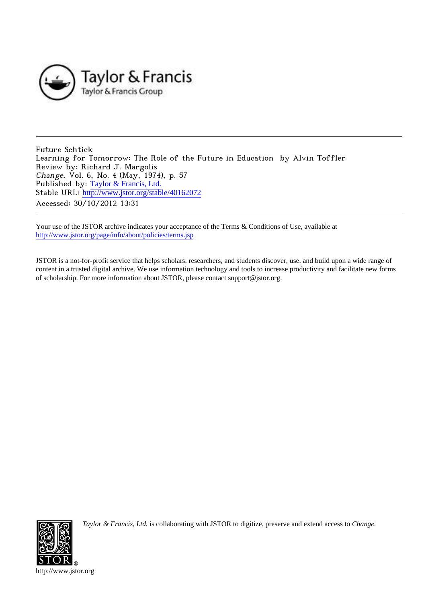

Future Schtick Learning for Tomorrow: The Role of the Future in Education by Alvin Toffler Review by: Richard J. Margolis Change, Vol. 6, No. 4 (May, 1974), p. 57 Published by: [Taylor & Francis, Ltd.](http://www.jstor.org/action/showPublisher?publisherCode=taylorfrancis) Stable URL: http://www.jstor.org/stable/40162072 Accessed: 30/10/2012 13:31

Your use of the JSTOR archive indicates your acceptance of the Terms & Conditions of Use, available at <http://www.jstor.org/page/info/about/policies/terms.jsp>

JSTOR is a not-for-profit service that helps scholars, researchers, and students discover, use, and build upon a wide range of content in a trusted digital archive. We use information technology and tools to increase productivity and facilitate new forms of scholarship. For more information about JSTOR, please contact support@jstor.org.



*Taylor & Francis, Ltd.* is collaborating with JSTOR to digitize, preserve and extend access to *Change.*